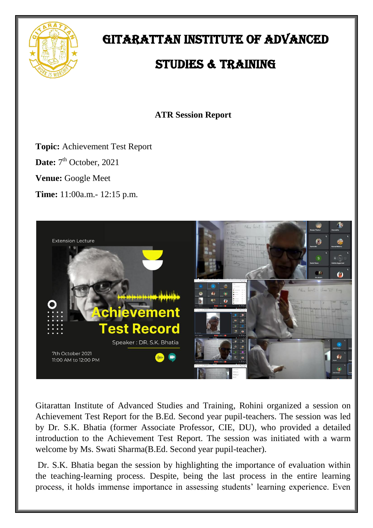

## GITARATTAN INSTITUTE OF ADVANCED

## STUDIES & TRAINING

**ATR Session Report**

**Topic:** Achievement Test Report

Date: 7<sup>th</sup> October, 2021

**Venue:** Google Meet

**Time:** 11:00a.m.- 12:15 p.m.



Gitarattan Institute of Advanced Studies and Training, Rohini organized a session on Achievement Test Report for the B.Ed. Second year pupil-teachers. The session was led by Dr. S.K. Bhatia (former Associate Professor, CIE, DU), who provided a detailed introduction to the Achievement Test Report. The session was initiated with a warm welcome by Ms. Swati Sharma(B.Ed. Second year pupil-teacher).

Dr. S.K. Bhatia began the session by highlighting the importance of evaluation within the teaching-learning process. Despite, being the last process in the entire learning process, it holds immense importance in assessing students' learning experience. Even